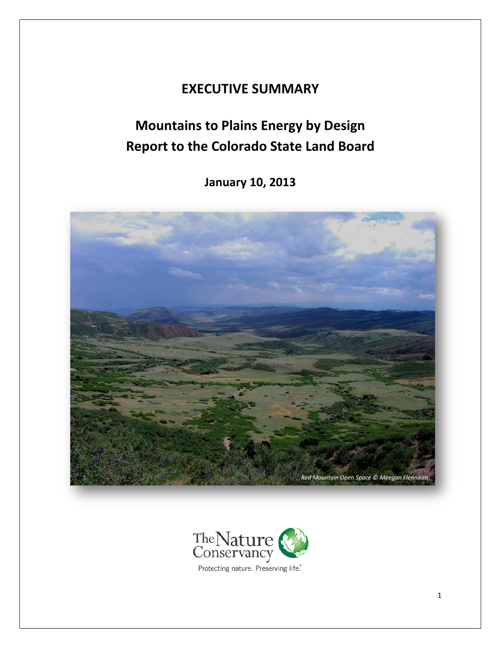## **EXECUTIVE SUMMARY**

# **Mountains to Plains Energy by Design Report to the Colorado State Land Board**

**January 10, 2013**





1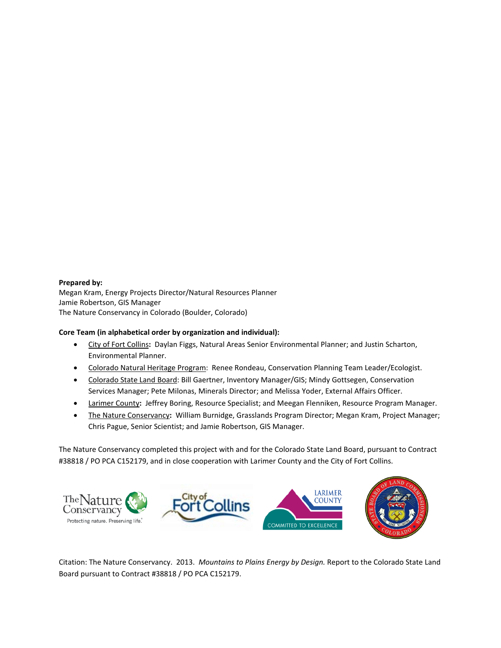#### **Prepared by:**

Megan Kram, Energy Projects Director/Natural Resources Planner Jamie Robertson, GIS Manager The Nature Conservancy in Colorado (Boulder, Colorado)

### **Core Team (in alphabetical order by organization and individual):**

- City of Fort Collins**:** Daylan Figgs, Natural Areas Senior Environmental Planner; and Justin Scharton, Environmental Planner.
- Colorado Natural Heritage Program:Renee Rondeau, Conservation Planning Team Leader/Ecologist.
- Colorado State Land Board: Bill Gaertner, Inventory Manager/GIS; Mindy Gottsegen, Conservation Services Manager; Pete Milonas, Minerals Director; and Melissa Yoder, External Affairs Officer.
- Larimer County**:** Jeffrey Boring, Resource Specialist; and Meegan Flenniken, Resource Program Manager.
- The Nature Conservancy**:** William Burnidge, Grasslands Program Director; Megan Kram, Project Manager; Chris Pague, Senior Scientist; and Jamie Robertson, GIS Manager.

The Nature Conservancy completed this project with and for the Colorado State Land Board, pursuant to Contract #38818 / PO PCA C152179, and in close cooperation with Larimer County and the City of Fort Collins.



Citation: The Nature Conservancy. 2013. *Mountains to Plains Energy by Design.* Report to the Colorado State Land Board pursuant to Contract #38818 / PO PCA C152179.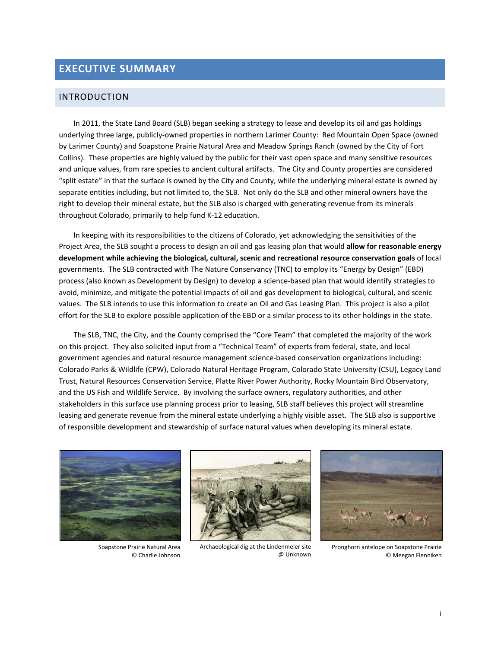## **EXECUTIVE SUMMARY**

## INTRODUCTION

In 2011, the State Land Board (SLB) began seeking a strategy to lease and develop its oil and gas holdings underlying three large, publicly-owned properties in northern Larimer County: Red Mountain Open Space (owned by Larimer County) and Soapstone Prairie Natural Area and Meadow Springs Ranch (owned by the City of Fort Collins). These properties are highly valued by the public for their vast open space and many sensitive resources and unique values, from rare species to ancient cultural artifacts. The City and County properties are considered "split estate" in that the surface is owned by the City and County, while the underlying mineral estate is owned by separate entities including, but not limited to, the SLB. Not only do the SLB and other mineral owners have the right to develop their mineral estate, but the SLB also is charged with generating revenue from its minerals throughout Colorado, primarily to help fund K-12 education.

In keeping with its responsibilities to the citizens of Colorado, yet acknowledging the sensitivities of the Project Area, the SLB sought a process to design an oil and gas leasing plan that would **allow for reasonable energy development while achieving the biological, cultural, scenic and recreational resource conservation goals** of local governments. The SLB contracted with The Nature Conservancy (TNC) to employ its "Energy by Design" (EBD) process (also known as Development by Design) to develop a science-based plan that would identify strategies to avoid, minimize, and mitigate the potential impacts of oil and gas development to biological, cultural, and scenic values. The SLB intends to use this information to create an Oil and Gas Leasing Plan. This project is also a pilot effort for the SLB to explore possible application of the EBD or a similar process to its other holdings in the state.

The SLB, TNC, the City, and the County comprised the "Core Team" that completed the majority of the work on this project. They also solicited input from a "Technical Team" of experts from federal, state, and local government agencies and natural resource management science-based conservation organizations including: Colorado Parks & Wildlife (CPW), Colorado Natural Heritage Program, Colorado State University (CSU), Legacy Land Trust, Natural Resources Conservation Service, Platte River Power Authority, Rocky Mountain Bird Observatory, and the US Fish and Wildlife Service. By involving the surface owners, regulatory authorities, and other stakeholders in this surface use planning process prior to leasing, SLB staff believes this project will streamline leasing and generate revenue from the mineral estate underlying a highly visible asset. The SLB also is supportive of responsible development and stewardship of surface natural values when developing its mineral estate.



Soapstone Prairie Natural Area © Charlie Johnson



Archaeological dig at the Lindenmeier site @ Unknown



Pronghorn antelope on Soapstone Prairie © Meegan Flenniken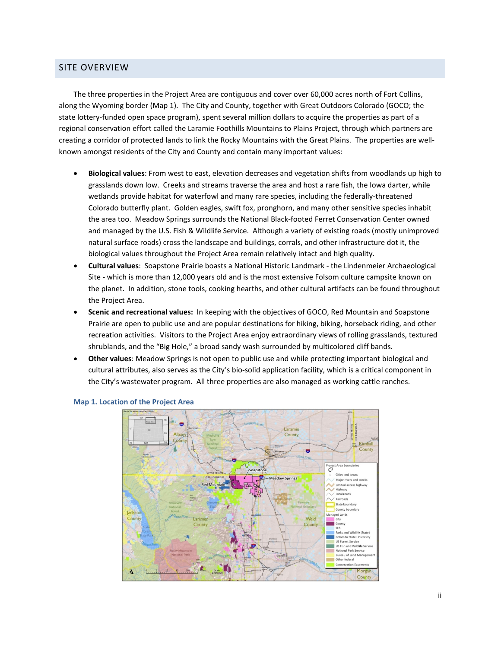## SITE OVERVIEW

The three properties in the Project Area are contiguous and cover over 60,000 acres north of Fort Collins, along the Wyoming border (Map 1). The City and County, together with Great Outdoors Colorado (GOCO; the state lottery-funded open space program), spent several million dollars to acquire the properties as part of a regional conservation effort called the Laramie Foothills Mountains to Plains Project, through which partners are creating a corridor of protected lands to link the Rocky Mountains with the Great Plains. The properties are wellknown amongst residents of the City and County and contain many important values:

- **Biological values**: From west to east, elevation decreases and vegetation shifts from woodlands up high to grasslands down low. Creeks and streams traverse the area and host a rare fish, the Iowa darter, while wetlands provide habitat for waterfowl and many rare species, including the federally-threatened Colorado butterfly plant. Golden eagles, swift fox, pronghorn, and many other sensitive species inhabit the area too. Meadow Springs surrounds the National Black-footed Ferret Conservation Center owned and managed by the U.S. Fish & Wildlife Service. Although a variety of existing roads (mostly unimproved natural surface roads) cross the landscape and buildings, corrals, and other infrastructure dot it, the biological values throughout the Project Area remain relatively intact and high quality.
- **Cultural values**: Soapstone Prairie boasts a National Historic Landmark the Lindenmeier Archaeological Site - which is more than 12,000 years old and is the most extensive Folsom culture campsite known on the planet. In addition, stone tools, cooking hearths, and other cultural artifacts can be found throughout the Project Area.
- **Scenic and recreational values:** In keeping with the objectives of GOCO, Red Mountain and Soapstone Prairie are open to public use and are popular destinations for hiking, biking, horseback riding, and other recreation activities. Visitors to the Project Area enjoy extraordinary views of rolling grasslands, textured shrublands, and the "Big Hole," a broad sandy wash surrounded by multicolored cliff bands.
- **Other values**: Meadow Springs is not open to public use and while protecting important biological and cultural attributes, also serves as the City's bio-solid application facility, which is a critical component in the City's wastewater program. All three properties are also managed as working cattle ranches.



#### **Map 1. Location of the Project Area**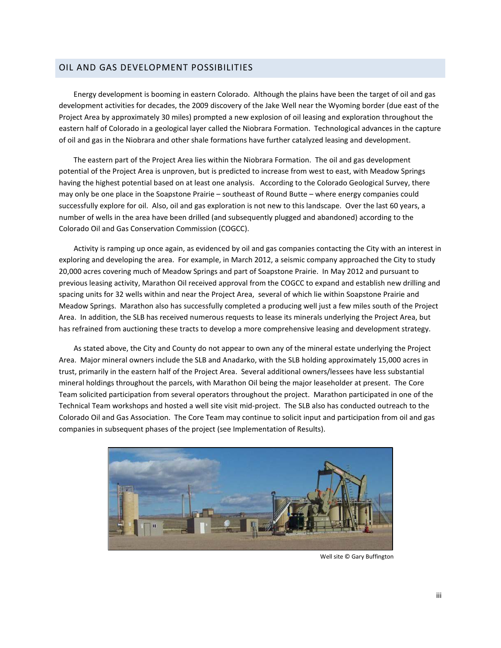## OIL AND GAS DEVELOPMENT POSSIBILITIES

Energy development is booming in eastern Colorado. Although the plains have been the target of oil and gas development activities for decades, the 2009 discovery of the Jake Well near the Wyoming border (due east of the Project Area by approximately 30 miles) prompted a new explosion of oil leasing and exploration throughout the eastern half of Colorado in a geological layer called the Niobrara Formation. Technological advances in the capture of oil and gas in the Niobrara and other shale formations have further catalyzed leasing and development.

The eastern part of the Project Area lies within the Niobrara Formation. The oil and gas development potential of the Project Area is unproven, but is predicted to increase from west to east, with Meadow Springs having the highest potential based on at least one analysis. According to the Colorado Geological Survey, there may only be one place in the Soapstone Prairie – southeast of Round Butte – where energy companies could successfully explore for oil. Also, oil and gas exploration is not new to this landscape. Over the last 60 years, a number of wells in the area have been drilled (and subsequently plugged and abandoned) according to the Colorado Oil and Gas Conservation Commission (COGCC).

Activity is ramping up once again, as evidenced by oil and gas companies contacting the City with an interest in exploring and developing the area. For example, in March 2012, a seismic company approached the City to study 20,000 acres covering much of Meadow Springs and part of Soapstone Prairie. In May 2012 and pursuant to previous leasing activity, Marathon Oil received approval from the COGCC to expand and establish new drilling and spacing units for 32 wells within and near the Project Area, several of which lie within Soapstone Prairie and Meadow Springs. Marathon also has successfully completed a producing well just a few miles south of the Project Area. In addition, the SLB has received numerous requests to lease its minerals underlying the Project Area, but has refrained from auctioning these tracts to develop a more comprehensive leasing and development strategy.

As stated above, the City and County do not appear to own any of the mineral estate underlying the Project Area. Major mineral owners include the SLB and Anadarko, with the SLB holding approximately 15,000 acres in trust, primarily in the eastern half of the Project Area. Several additional owners/lessees have less substantial mineral holdings throughout the parcels, with Marathon Oil being the major leaseholder at present. The Core Team solicited participation from several operators throughout the project. Marathon participated in one of the Technical Team workshops and hosted a well site visit mid-project. The SLB also has conducted outreach to the Colorado Oil and Gas Association. The Core Team may continue to solicit input and participation from oil and gas companies in subsequent phases of the project (see Implementation of Results).



Well site © Gary Buffington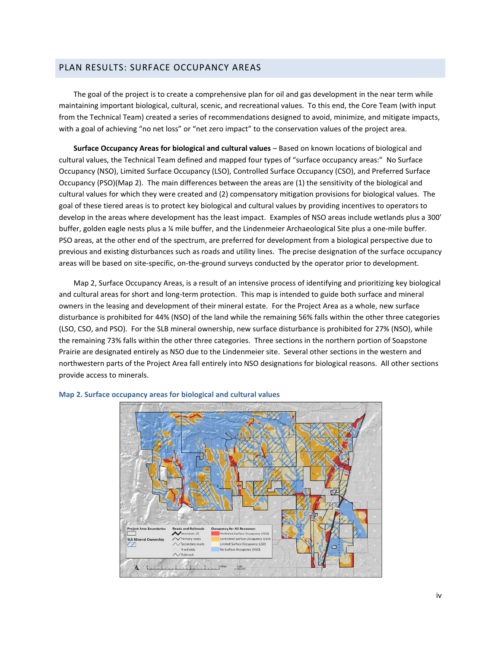## PLAN RESULTS: SURFACE OCCUPANCY AREAS

The goal of the project is to create a comprehensive plan for oil and gas development in the near term while maintaining important biological, cultural, scenic, and recreational values. To this end, the Core Team (with input from the Technical Team) created a series of recommendations designed to avoid, minimize, and mitigate impacts, with a goal of achieving "no net loss" or "net zero impact" to the conservation values of the project area.

**Surface Occupancy Areas for biological and cultural values** – Based on known locations of biological and cultural values, the Technical Team defined and mapped four types of "surface occupancy areas:" No Surface Occupancy (NSO), Limited Surface Occupancy (LSO), Controlled Surface Occupancy (CSO), and Preferred Surface Occupancy (PSO)(Map 2). The main differences between the areas are (1) the sensitivity of the biological and cultural values for which they were created and (2) compensatory mitigation provisions for biological values. The goal of these tiered areas is to protect key biological and cultural values by providing incentives to operators to develop in the areas where development has the least impact. Examples of NSO areas include wetlands plus a 300' buffer, golden eagle nests plus a ¼ mile buffer, and the Lindenmeier Archaeological Site plus a one-mile buffer. PSO areas, at the other end of the spectrum, are preferred for development from a biological perspective due to previous and existing disturbances such as roads and utility lines. The precise designation of the surface occupancy areas will be based on site-specific, on-the-ground surveys conducted by the operator prior to development.

Map 2, Surface Occupancy Areas, is a result of an intensive process of identifying and prioritizing key biological and cultural areas for short and long-term protection. This map is intended to guide both surface and mineral owners in the leasing and development of their mineral estate. For the Project Area as a whole, new surface disturbance is prohibited for 44% (NSO) of the land while the remaining 56% falls within the other three categories (LSO, CSO, and PSO). For the SLB mineral ownership, new surface disturbance is prohibited for 27% (NSO), while the remaining 73% falls within the other three categories. Three sections in the northern portion of Soapstone Prairie are designated entirely as NSO due to the Lindenmeier site. Several other sections in the western and northwestern parts of the Project Area fall entirely into NSO designations for biological reasons. All other sections provide access to minerals.



#### **Map 2. Surface occupancy areas for biological and cultural values**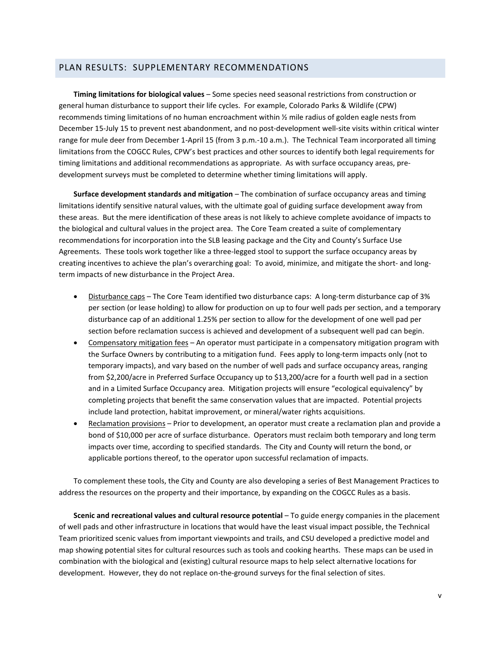## PLAN RESULTS: SUPPLEMENTARY RECOMMENDATIONS

**Timing limitations for biological values** – Some species need seasonal restrictions from construction or general human disturbance to support their life cycles. For example, Colorado Parks & Wildlife (CPW) recommends timing limitations of no human encroachment within ½ mile radius of golden eagle nests from December 15-July 15 to prevent nest abandonment, and no post-development well-site visits within critical winter range for mule deer from December 1-April 15 (from 3 p.m.-10 a.m.). The Technical Team incorporated all timing limitations from the COGCC Rules, CPW's best practices and other sources to identify both legal requirements for timing limitations and additional recommendations as appropriate. As with surface occupancy areas, predevelopment surveys must be completed to determine whether timing limitations will apply.

**Surface development standards and mitigation** – The combination of surface occupancy areas and timing limitations identify sensitive natural values, with the ultimate goal of guiding surface development away from these areas. But the mere identification of these areas is not likely to achieve complete avoidance of impacts to the biological and cultural values in the project area. The Core Team created a suite of complementary recommendations for incorporation into the SLB leasing package and the City and County's Surface Use Agreements. These tools work together like a three-legged stool to support the surface occupancy areas by creating incentives to achieve the plan's overarching goal: To avoid, minimize, and mitigate the short- and longterm impacts of new disturbance in the Project Area.

- Disturbance caps The Core Team identified two disturbance caps: A long-term disturbance cap of 3% per section (or lease holding) to allow for production on up to four well pads per section, and a temporary disturbance cap of an additional 1.25% per section to allow for the development of one well pad per section before reclamation success is achieved and development of a subsequent well pad can begin.
- Compensatory mitigation fees An operator must participate in a compensatory mitigation program with the Surface Owners by contributing to a mitigation fund. Fees apply to long-term impacts only (not to temporary impacts), and vary based on the number of well pads and surface occupancy areas, ranging from \$2,200/acre in Preferred Surface Occupancy up to \$13,200/acre for a fourth well pad in a section and in a Limited Surface Occupancy area. Mitigation projects will ensure "ecological equivalency" by completing projects that benefit the same conservation values that are impacted. Potential projects include land protection, habitat improvement, or mineral/water rights acquisitions.
- Reclamation provisions Prior to development, an operator must create a reclamation plan and provide a bond of \$10,000 per acre of surface disturbance. Operators must reclaim both temporary and long term impacts over time, according to specified standards. The City and County will return the bond, or applicable portions thereof, to the operator upon successful reclamation of impacts.

To complement these tools, the City and County are also developing a series of Best Management Practices to address the resources on the property and their importance, by expanding on the COGCC Rules as a basis.

**Scenic and recreational values and cultural resource potential** – To guide energy companies in the placement of well pads and other infrastructure in locations that would have the least visual impact possible, the Technical Team prioritized scenic values from important viewpoints and trails, and CSU developed a predictive model and map showing potential sites for cultural resources such as tools and cooking hearths. These maps can be used in combination with the biological and (existing) cultural resource maps to help select alternative locations for development. However, they do not replace on-the-ground surveys for the final selection of sites.